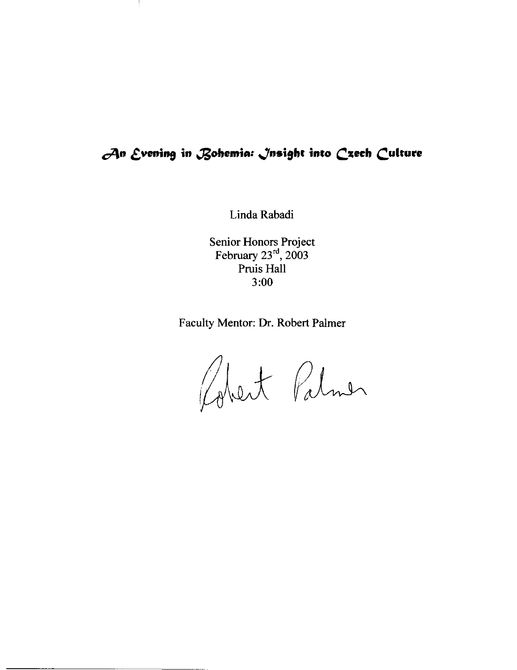# An Evening in Bohemia: Jusight into Czech Culture

4

Linda Rabadi

Senior Honors Project February 23<sup>rd</sup>, 2003 Pruis Hall 3:00

Faculty Mentor: Dr. Robert Palmer

Robert Palmer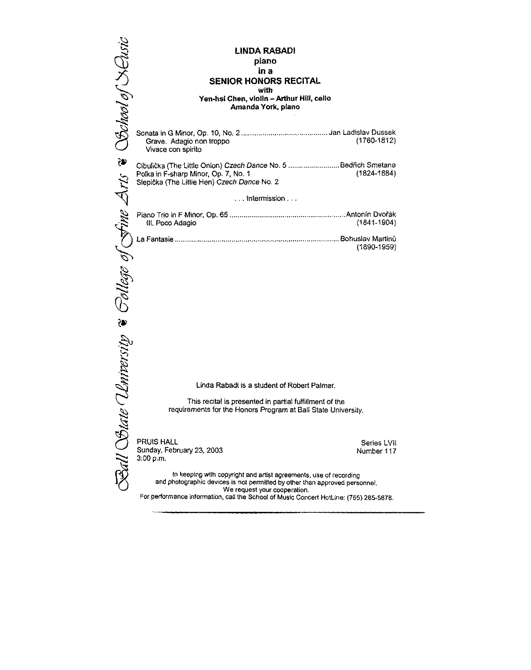| School of Skehsic                     | LINDA RABADI<br>piano<br>in a                                                                                                                                                    |                           |
|---------------------------------------|----------------------------------------------------------------------------------------------------------------------------------------------------------------------------------|---------------------------|
|                                       | SENIOR HONORS RECITAL<br>with                                                                                                                                                    |                           |
|                                       | Yen-hsi Chen, violin - Arthur Hill, cello<br>Amanda York, piano                                                                                                                  |                           |
|                                       | Grave. Adagio non troppo<br>Vivace con spirito                                                                                                                                   | $(1760 - 1812)$           |
| time Arts                             | Cibulička (The Little Onion) Czech Dance No. 5 Bedřich Smetana<br>Polka in F-sharp Minor, Op. 7, No. 1<br>Slepička (The Little Hen) Czech Dance No. 2                            | $(1824 - 1884)$           |
|                                       | Intermission                                                                                                                                                                     |                           |
|                                       | III. Poco Adagio                                                                                                                                                                 | $(1841 - 1904)$           |
|                                       |                                                                                                                                                                                  | $(1890 - 1959)$           |
|                                       |                                                                                                                                                                                  |                           |
|                                       |                                                                                                                                                                                  |                           |
| Ball Sotate University & Sollege of S | Linda Rabadi is a student of Robert Palmer.                                                                                                                                      |                           |
|                                       | This recital is presented in partial fulfillment of the                                                                                                                          |                           |
|                                       | requirements for the Honors Program at Ball State University.                                                                                                                    |                           |
|                                       | PRUIS HALL<br>Sunday, February 23, 2003<br>3.00 p.m.                                                                                                                             | Series LVII<br>Number 117 |
|                                       | In keeping with copyright and artist agreements, use of recording<br>and photographic devices is not permitted by other than approved personnel.<br>We request your cooperation. |                           |
|                                       | For performance information, call the School of Music Concert HotLine: (765) 285-5878.                                                                                           |                           |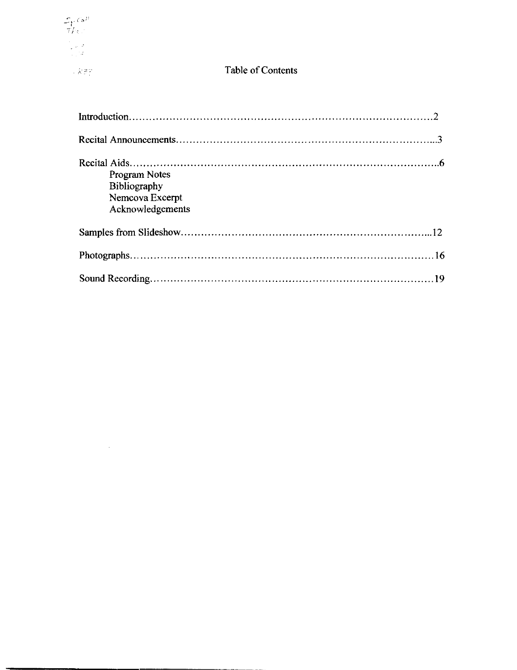

 $\mathcal{L}^{\text{max}}_{\text{max}}$  ,  $\mathcal{L}^{\text{max}}_{\text{max}}$ 

# Table of Contents

| Program Notes<br>Bibliography<br>Nemcova Excerpt<br>Acknowledgements |
|----------------------------------------------------------------------|
|                                                                      |
|                                                                      |
|                                                                      |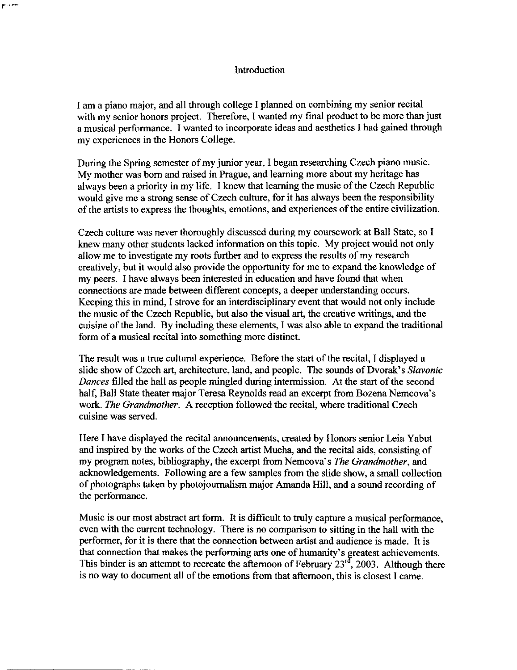# Introduction

po cen

I am a piano major, and all through college I planned on combining my senior recital with my senior honors project. Therefore, I wanted my final product to be more than just a musical performance. I wanted to incorporate ideas and aesthetics I had gained through my experiences in the Honors College.

During the Spring semester of my junior year, I began researching Czech piano music. My mother was born and raised in Prague, and learning more about my heritage has always been a priority in my life. I knew that learning the music of the Czech Republic would give me a strong sense of Czech culture, for it has always been the responsibility of the artists to express the thoughts, emotions, and experiences of the entire civilization.

Czech culture was never thoroughly discussed during my coursework at Ball State, so I knew many other students lacked information on this topic. My project would not only allow me to investigate my roots further and to express the results of my research creatively, but it would also provide the opportunity for me to expand the knowledge of my peers. I have always been interested in education and have found that when connections are made between different concepts, a deeper understanding occurs. Keeping this in mind, I strove for an interdisciplinary event that would not only include the music of the Czech Republic, but also the visual art, the creative writings, and the cuisine of the land. By including these elements, I was also able to expand the traditional form of a musical recital into something more distinct.

The result was a true cultural experience. Before the start of the recital, I displayed a slide show of Czech art, architecture, land, and people. The sounds of Dvorak's *Slavonic Dances* filled the hall as people mingled during intermission. At the start of the second half, Ball State theater major Teresa Reynolds read an excerpt from Bozena Nemcova's work. *The Grandmother.* A reception followed the recital, where traditional Czech cuisine was served.

Here I have displayed the recital announcements, created by Honors senior Leia Yabut and inspired by the works of the Czech artist Mucha, and the recital aids, consisting of my program notes, bibliography, the excerpt from Nemcova's *The Grandmother,* and acknowledgements. Following are a few samples from the slide show, a small collection of photographs taken by photojournalism major Amanda Hill, and a sound recording of the performance.

Music is our most abstract art form. It is difficult to truly capture a musical performance, even with the eurrent technology. There is no comparison to sitting in the hail with the performer, for it is there that the connection between artist and audience is made. It is that connection that makes the performing arts one of humanity's greatest achievements. This binder is an attempt to recreate the afternoon of February  $23^{rd}$ , 2003. Although there is no way to document all of the emotions from that afternoon, this is closest I came.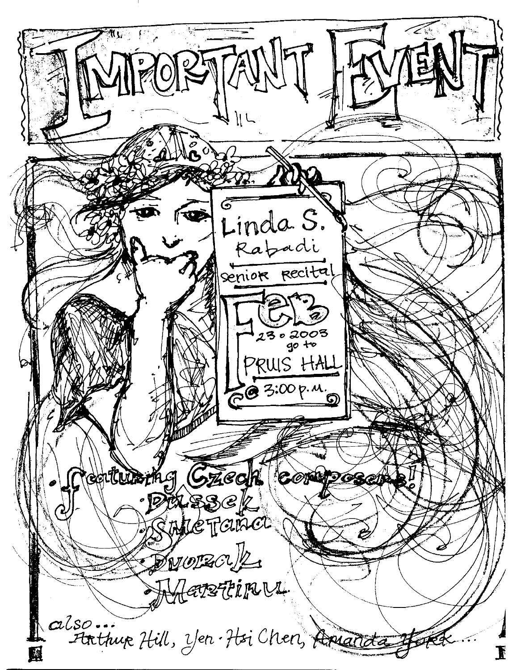NEORTANT FAV inda S. senior  $23005$ <br> $90 + 8$ PRUIS HAL @ 3:00 p.m. Cotture 2Zech e of LES ell WOFZOUL Aanstrin vi calso... --<br>Fathur Hill, yen Hsi Chen, Aria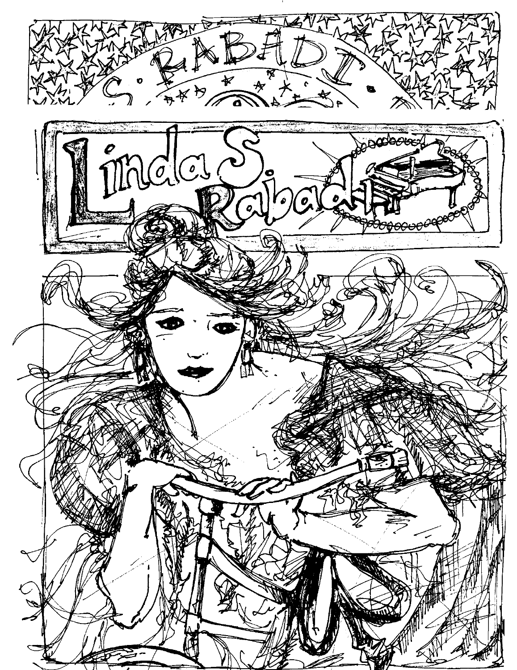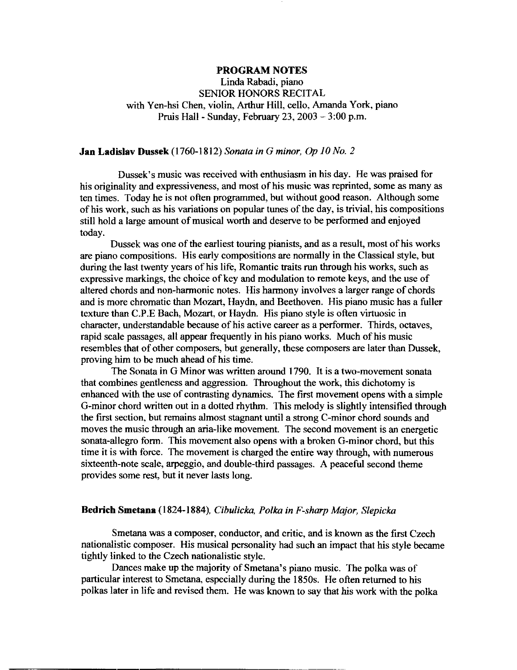# **PROGRAM NOTES**

Linda Rabadi, piano SENIOR HONORS RECITAL with Yen-hsi Chen, violin, Arthur Hill, cello, Amanda York, piano Pruis Hall - Sunday, February 23, 2003 - 3:00 p.m.

#### **Jan Ladislav** Dussek (1760-1812) *Sonata in* G *minor, Op 10 No.2*

Dussek's music was received with enthusiasm in his day. He was praised for his originality and expressiveness, and most of his music was reprinted, some as many as ten times. Today he is not often programmed, but without good reason. Although some of his work, such as his variations on popular tunes of the day, is trivial, his compositions still hold a large amount of musical worth and deserve to be performed and enjoyed today.

Dussek was one of the earliest touring pianists, and as a result, most of his works are piano compositions. His early compositions are normally in the Classical style, but during the last twenty years of his life, Romantic traits run through his works, such as expressive markings, the choice of key and modulation to remote keys, and the use of altered chords and non-harmonic notes. His harmony involves a larger range of chords and is more chromatic than Mozart, Haydn, and Beethoven. His piano music has a fuller texture than C.P.E Bach, Mozart, or Haydn. His piano style is often virtuosic in character, understandable because of his active career as a performer. Thirds, octaves, rapid scale passages, all appear frequently in his piano works. Much of his music resembles that of other composers, but generally, these composers are later than Dussek, proving him to be much ahead of his time.

The Sonata in G Minor was written around 1790. It is a two-movement sonata that combines gentleness and aggression. Throughout the work, this dichotomy is enhanced with the use of contrasting dynamics. The first movement opens with a simple G-minor chord written out in a dotted rhythm. This melody is slightly intensified through the first section, but remains almost stagnant until a strong C-minor chord sounds and moves the music through an aria-like movement. The second movement is an energetic sonata-allegro form. This movement also opens with a broken G-minor chord, but this time it is with force. The movement is charged the entire way through, with numerous sixteenth-note scale, arpeggio, and double-third passages. A peaceful second theme provides some rest, but it never lasts long.

## **Hedrich Smetana** (1824-1884), *Cihulicka, Polka in F-sharp Mqjor, Slepicka*

Smetana was a composer, conductor, and critic, and is known as the first Czech nationalistic composer. His musical personality had such an impact that his style became tightly linked to the Czech nationalistic style.

Dances make up the majority of Smetana's piano music. The polka was of particular interest to Smetana, especially during the 1850s. He often returned to his polkas later in life and revised them. He was known to say that his work with the polka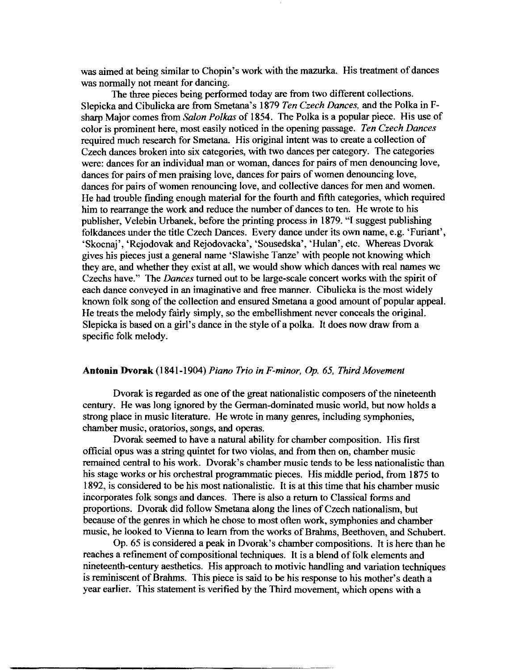was aimed at being similar to Chopin's work with the mazurka. His treatment of dances was normally not meant for dancing.

The three pieces being performed today are from two different collections. Slepicka and Cibulicka are from Smetana's 1879 *Ten Czech Dances,* and the Polka in Fsharp Major comes from *Salon Polkas* of 1854. The Polka is a popular piece. His use of color is prominent here, most easily noticed in the opening passage. *Ten Czech Dances*  required much research for Smetana. His original intent was to create a collection of Czech dances broken into six categories, with two dances per category. The categories were: dances for an individual man or woman, dances for pairs of men denouncing love, dances for pairs of men praising love, dances for pairs of women denouncing love, dances for pairs of women renouncing love, and collective dances for men and women. He had trouble finding enough material for the fourth and fifth categories, which required him to rearrange the work and reduce the number of dances to ten. He wrote to his publisher, Velebin Urbanek, before the printing process in 1879. "I suggest publishing folkdances under the title Czech Dances. Every dance under its own name, e.g. 'Furiant', 'Skocnaj', 'Rejodovak and Rejodovacka', 'Sousedska', 'Hulan', etc. Whereas Dvorak gives his pieces just a general name 'Slawishe Tanze' with people not knowing which they are, and whether they exist at all, we would show which dances with real names we Czechs have." The *Dances* turned out to be large-scale concert works with the spirit of each dance conveyed in an imaginative and free manner. Cibulicka is the most widely known folk song of the collection and ensured Smetana a good amount of popular appeal. He treats the melody fairly simply, so the embellishment never conceals the original. Slepicka is based on a girl's dance in the style of a polka. It does now draw from a specific folk melody.

#### **Antonin Dvorak** (1841-1904) *Piano Trio in F-minor,* Op. 65, *Third Movement*

Dvorak is regarded as one of the great nationalistic composers of the nineteenth century. He was long ignored by the German-dominated music world, but now holds a strong place in music literature. He wrote in many genres, including symphonies, chamber music, oratorios, songs, and operas.

Dvorak seemed to have a natural ability for chamber composition. His first official opus was a string quintet for two violas, and from then on, chamber music remained central to his work. Dvorak's chamber music tends to be less nationalistic than his stage works or his orchestral programmatic pieces. His middle period, from 1875 to 1892, is considered to be his most nationalistic. It is at this time that his chamber music incorporates folk songs and dances. There is also a return to Classical forms and proportions. Dvorak did follow Smetana along the lines of Czech nationalism, but because of the genres in which he chose to most often work, symphonies and chamber music, he looked to Vienna to leam from the works of Braluns, Beethoven, and Schubert.

Op. 65 is considered a peak in Dvorak's chamber compositions. It is here than he reaches a refinement of compositional techniques. It is a blend of folk elements and nineteenth-century aesthetics. His approach to motivic handling and variation techniques is reminiscent of Braluns. This piece is said to be his response to his mother's death a year earlier. This statement is verified by the Third movement, which opens with a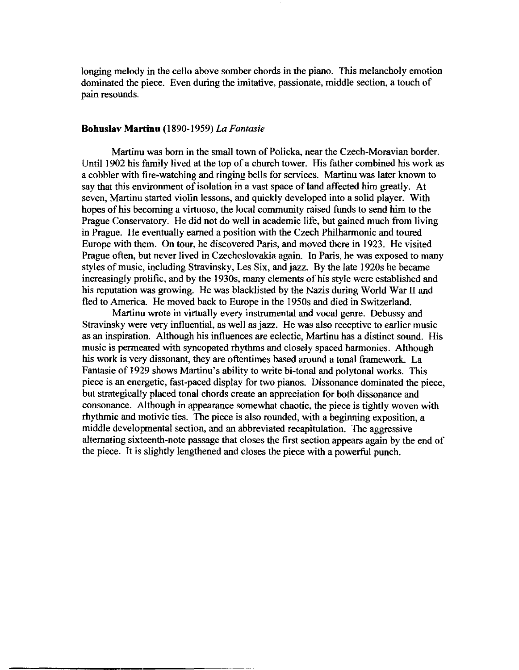longing melody in the cello above somber chords in the piano. This melancholy emotion dominated the piece. Even during the imitative, passionate, middle section, a touch of pain resounds.

#### **Bobuslav Martinu** (1890-1959) *La Fantasie*

Martinu was born in the small town of Policka, near the Czech-Moravian border. Until 1902 his family lived at the top of a church tower. His father combined his work as a cobbler with fire-watching and ringing bells for services. Martinu was later known to say that this environment of isolation in a vast space of land affected him greatly. At seven, Martinu started violin lessons, and quickly developed into a solid player. With hopes of his becoming a virtuoso, the local community raised funds to send him to the Prague Conservatory. He did not do well in academic life, but gained much from living in Prague. He eventually earned a position with the Czech Philharmonic and toured Europe with them. On tour, he discovered Paris, and moved there in 1923. He visited Prague often, but never lived in Czechoslovakia again. In Paris, he was exposed to many styles of music, including Stravinsky, Les Six, and jazz. By the late I 920s he became increasingly prolific, and by the 1930s, many elements of his style were established and his reputation was growing. He was blacklisted by the Nazis during World War II and fled to America. He moved back to Europe in the 1950s and died in Switzerland.

Martinu wrote in virtually every instrumental and vocal genre. Debussy and Stravinsky were very influential, as well as jazz. He was also receptive to earlier music as an inspiration. Although his influences are eclectic, Martinu has a distinct sound. His music is permeated with syncopated rhythms and closely spaced harmonies. Although his work is very dissonant, they are oftentimes based around a tonal framework. La Fantasie of 1929 shows Martinu's ability to write bi-tonal and polytonal works. This piece is an energetic, fast-paced display for two pianos. Dissonance dominated the piece, but strategically placed tonal chords create an appreciation for both dissonance and consonance. Although in appearance somewhat chaotic, the piece is tightly woven with rhythmic and motivic ties. The piece is also rounded, with a beginning exposition, a middle developmental section, and an abbreviated recapitulation. The aggressive alternating sixteenth-note passage that closes the first section appears again by the end of the piece. It is slightly lengthened and closes the piece with a powerful punch.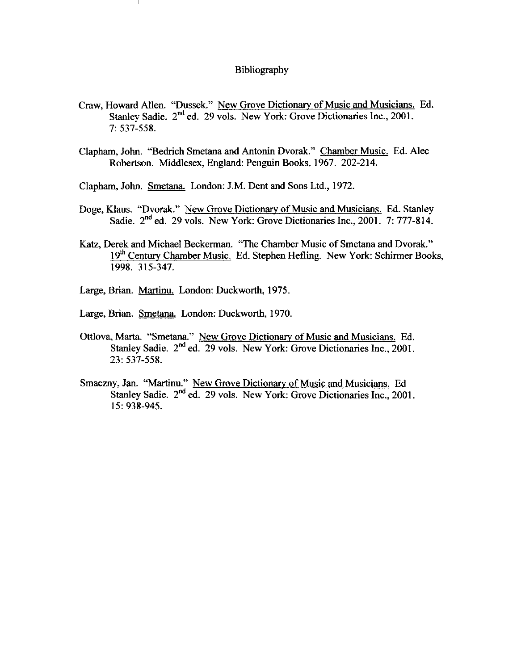## **Bibliography**

- Craw, Howard Allen. "Dussek." New Grove Dictionary of Music and Musicians. Ed. Stanley Sadie. 2<sup>nd</sup> ed. 29 vols. New York: Grove Dictionaries Inc., 2001. 7: 537-558.
- Clapham, John. "Bedrich Smetana and Antonin Dvorak." Chamber Music. Ed. Alec Robertson. Middlesex, England: Penguin Books, 1967. 202-214.
- Clapham, John. Smetana. London: 1.M. Dent and Sons Ltd., 1972.
- Doge, Klaus. "Dvorak." New Grove Dictionary of Music and Musicians. Ed. Stanley Sadie. 2<sup>nd</sup> ed. 29 vols. New York: Grove Dictionaries Inc., 2001. 7: 777-814.
- Katz, Derek and Michael Beckerman. "The Chamber Music of Smetana and Dvorak." 19<sup>th</sup> Century Chamber Music. Ed. Stephen Hefling. New York: Schirmer Books, 1998. 315-347.
- Large, Brian. Martinu. London: Duckworth, 1975.
- Large, Brian. Smetana. London: Duckworth, 1970.
- Ottlova, Marta. "Smetana." New Grove Dictionary of Music and Musicians. Ed. Stanley Sadie. 2<sup>nd</sup> ed. 29 vols. New York: Grove Dictionaries Inc., 2001. 23: 537-558.
- Smaczny, Jan. "Martinu." New Grove Dictionary of Music and Musicians. Ed. Stanley Sadie. 2<sup>nd</sup> ed. 29 vols. New York: Grove Dictionaries Inc., 2001. 15: 938-945.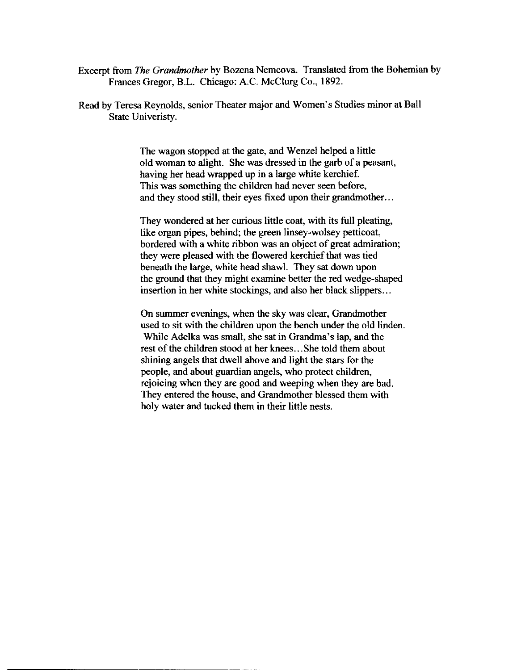- Excerpt from *The Grandmother* by Bozena Nemcova. Translated from the Bohemian by Frances Gregor, B.L. Chicago: A.C. McClurg Co., 1892.
- Read by Teresa Reynolds, senior Theater major and Women's Studies minor at Ball State Univeristy.

The wagon stopped at the gate, and Wenzel helped a little old woman to alight. She was dressed in the garb of a peasant, having her head wrapped up in a large white kerchief. This was something the children had never seen before, and they stood still, their eyes fixed upon their grandmother...

They wondered at her curious little coat, with its full pleating, like organ pipes, behind; the green linsey-wolsey petticoat, bordered with a white ribbon was an object of great admiration; they were pleased with the flowered kerchief that was tied beneath the large, white head shawl. They sat down upon the ground that they might examine better the red wedge-shaped insertion in her white stockings, and also her black slippers ...

On summer evenings, when the sky was clear, Grandmother used to sit with the children upon the bench under the old linden. While Adelka was small, she sat in Grandma's lap, and the rest of the children stood at her knees ... She told them about shining angels that dwell above and light the stars for the people, and about guardian angels, who protect children, rejoicing when they are good and weeping when they are bad. They entered the house, and Grandmother blessed them with holy water and tucked them in their little nests.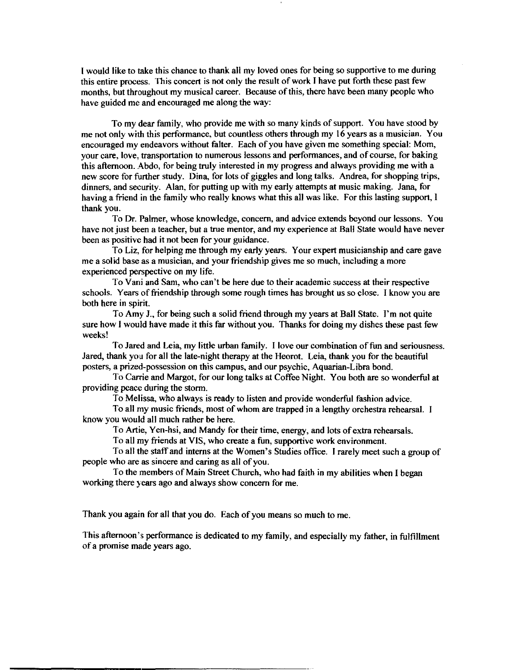I would like to take this chance to thank all my loved ones for being so supportive to me during this entire process. This concert is not only the result of work I have put forth these past few months, but throughout my musical career. Because of this, there have been many people who have guided me and encouraged me along the way:

To my dear family, who provide me with so many kinds of support. You have stood by me not only with this performance, but countless others through my 16 years as a musician. You encouraged my endeavors without falter. Each of you have given me something special: Mom, your care, love, transportation to numerous lessons and performances, and of course, for baking this afternoon. Abdo, for being truly interested in my progress and always providing me with a new score for further study. Dina, for lots of giggles and long talks. Andrea, for shopping trips, dinners, and security. Alan, for putting up with my early attempts at music making. Jana, for having a friend in the family who really knows what this all was like. For this lasting support, I thank you.

To Dr. Palmer, whose knowledge, concern, and advice extends beyond our lessons. You have not just been a teacher, but a true mentor, and my experience at Ball State would have never been as positive had it not been for your guidance.

To Liz, for helping me through my early years. Your expert musicianship and care gave me a solid base as a musician, and your friendship gives me so much, including a more experienced perspective on my life.

To Vani and Sam, who can't be here due to their academic success at their respective schools. Years of friendship through some rough times has brought us so close. I know you are both here in spirit.

To Amy J., for being such a solid friend through my years at Ball State. I'm not quite sure how I would have made it this far without you. Thanks for doing my dishes these past few weeks!

To Jared and Leia, my little urban family. I love our combination of fun and seriousness. Jared, thank you for all the late-night therapy at the Heorot. Leia, thank you for the beautiful posters, a prized-possession on this campus, and our psychic, Aquarian-Libra bond.

To Carrie and Margot, for our long talks at Coffee Night. You both are so wonderful at providing peace during the storm.

To Melissa, who always is ready to listen and provide wonderful fashion advice.

To all my music friends, most of whom are trapped in a lengthy orchestra rehearsal. I know you would all much rather be here.

To Artie, Yen-hsi, and Mandy for their time, energy, and lots of extra rehearsals.

To all my friends at VIS, who create a fun, supportive work environment.

To all the staffand interns at the Women's Studies office. I rarely meet such a group of people who are as sincere and caring as all of you.

To the members of Main Street Church, who had faith in my abilities when I began working there years ago and always show concern for me.

Thank you again for all that you do. Each of you means so much to me.

This afternoon's performance is dedicated to my family, and especially my father, in fulfillment of a promise made years ago.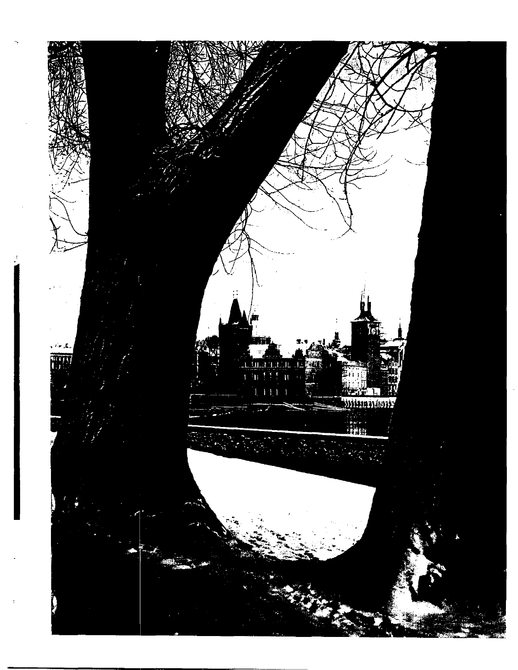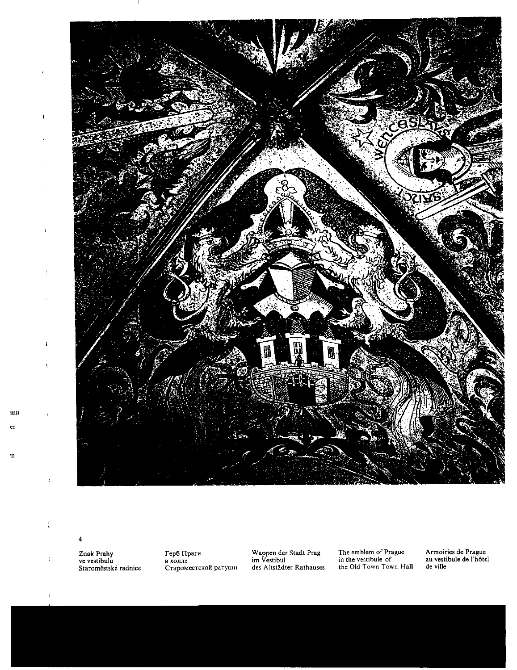

4

 $\langle$ 

÷

Znak Prahy ve vestibulu Staroměstské radnice

Герб Праги<br>в холле<br>Староместской ратуши

Wappen der Stadt Prag im Vestibiil des Altstadter Rathauses The emblem of Prague in the vestibule of the Old Town Town Hall Armoiries de Prague au vestibule de l'hotel de ville

 $^{\prime} \mathrm{n}$ 

WH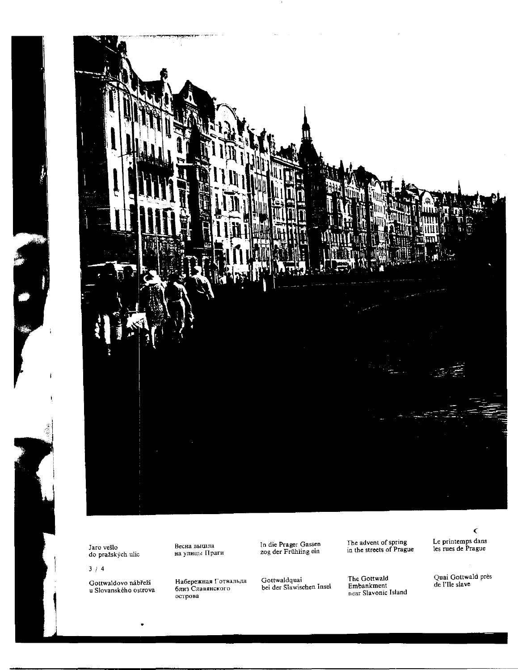

Jaro vešlo<br>do pražských ulic

 $3 / 4$ 

Gottwaldovo nábřeží<br>u Slovanského ostrova

Весна вышла на улицы Праги

Набережная Готвальда<br>близ Славянского острова

In die Prager Gassen<br>zog der Frühling ein

Gottwaldquai bei der Slawischen Insel The advent of spring<br>in the streets of Prague

The Gottwald<br>Embankment<br>near Slavonic Island

Le printemps dans<br>les rues de Prague

Quai Gottwald près<br>de l'Ile slave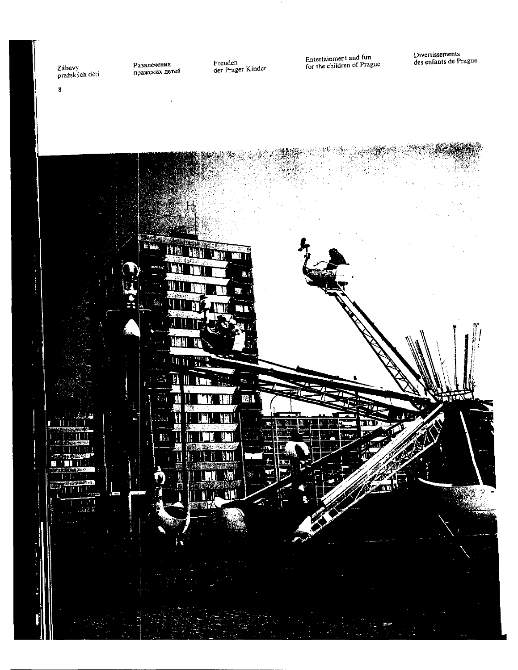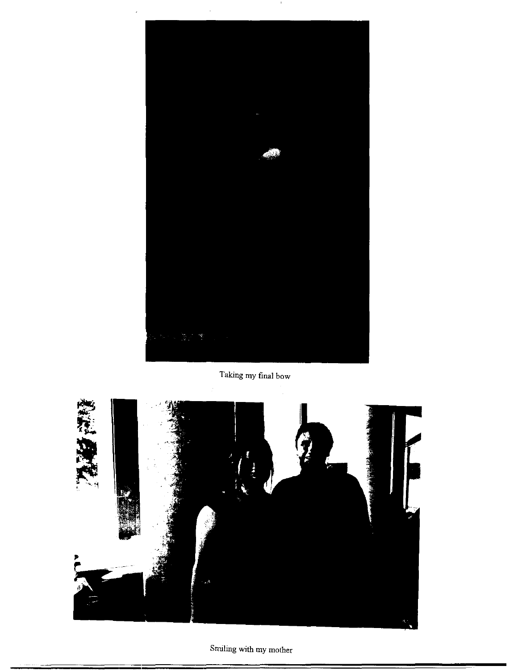

Taking my final bow



Smiling with my mother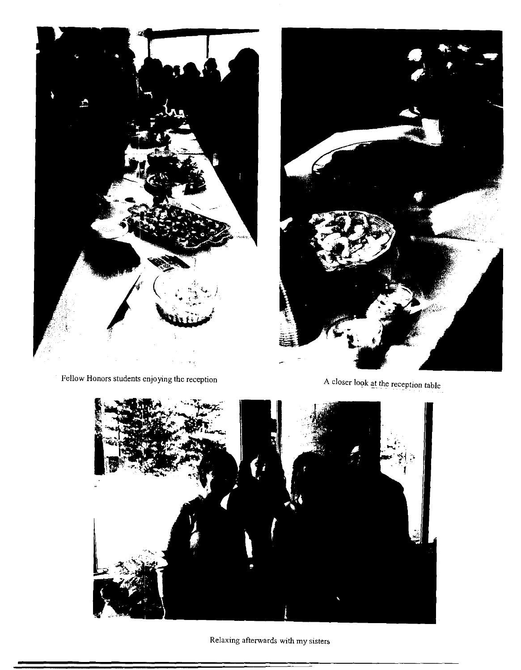





**Relaxing afterwards with my** sister~